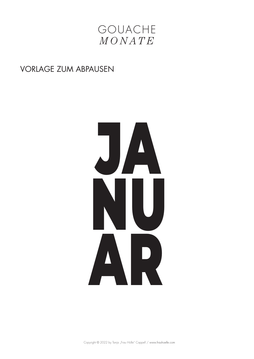

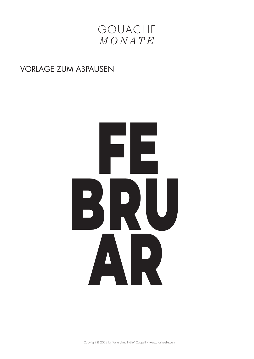

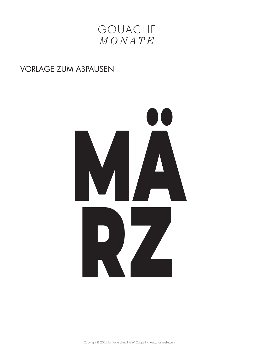

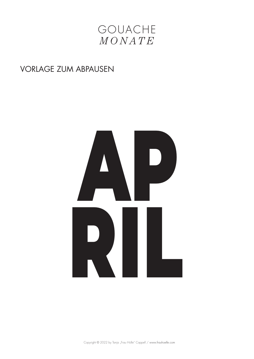

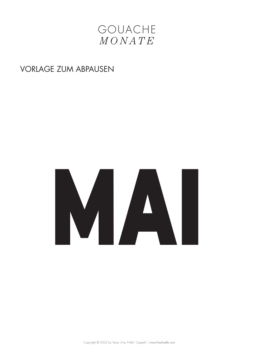

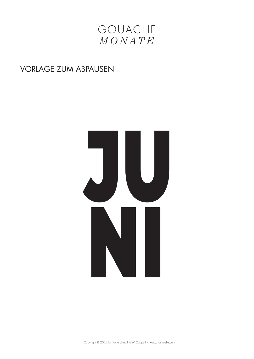

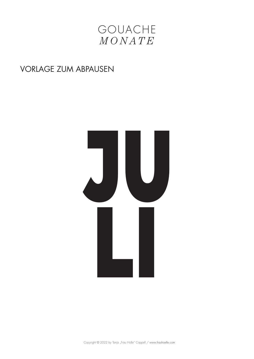

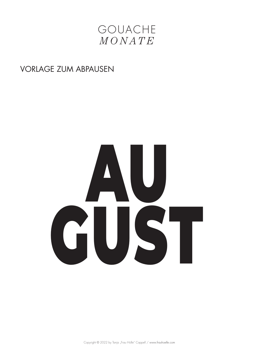

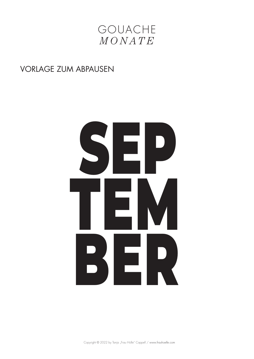

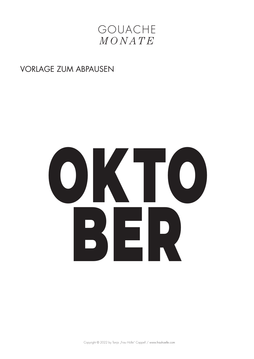

# OKT ER  $\begin{array}{c} \text{P} \\ \text{P} \end{array}$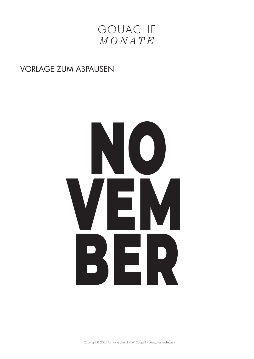